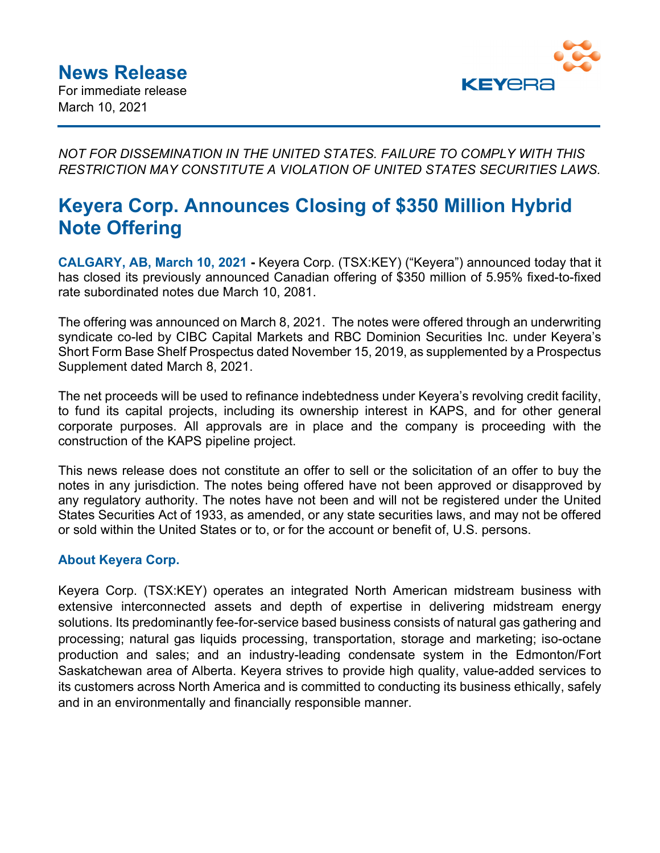

*NOT FOR DISSEMINATION IN THE UNITED STATES. FAILURE TO COMPLY WITH THIS RESTRICTION MAY CONSTITUTE A VIOLATION OF UNITED STATES SECURITIES LAWS.* 

# **Keyera Corp. Announces Closing of \$350 Million Hybrid Note Offering**

**CALGARY, AB, March 10, 2021 -** Keyera Corp. (TSX:KEY) ("Keyera") announced today that it has closed its previously announced Canadian offering of \$350 million of 5.95% fixed-to-fixed rate subordinated notes due March 10, 2081.

The offering was announced on March 8, 2021. The notes were offered through an underwriting syndicate co-led by CIBC Capital Markets and RBC Dominion Securities Inc. under Keyera's Short Form Base Shelf Prospectus dated November 15, 2019, as supplemented by a Prospectus Supplement dated March 8, 2021.

The net proceeds will be used to refinance indebtedness under Keyera's revolving credit facility, to fund its capital projects, including its ownership interest in KAPS, and for other general corporate purposes. All approvals are in place and the company is proceeding with the construction of the KAPS pipeline project.

This news release does not constitute an offer to sell or the solicitation of an offer to buy the notes in any jurisdiction. The notes being offered have not been approved or disapproved by any regulatory authority. The notes have not been and will not be registered under the United States Securities Act of 1933, as amended, or any state securities laws, and may not be offered or sold within the United States or to, or for the account or benefit of, U.S. persons.

# **About Keyera Corp.**

Keyera Corp. (TSX:KEY) operates an integrated North American midstream business with extensive interconnected assets and depth of expertise in delivering midstream energy solutions. Its predominantly fee-for-service based business consists of natural gas gathering and processing; natural gas liquids processing, transportation, storage and marketing; iso-octane production and sales; and an industry-leading condensate system in the Edmonton/Fort Saskatchewan area of Alberta. Keyera strives to provide high quality, value-added services to its customers across North America and is committed to conducting its business ethically, safely and in an environmentally and financially responsible manner.